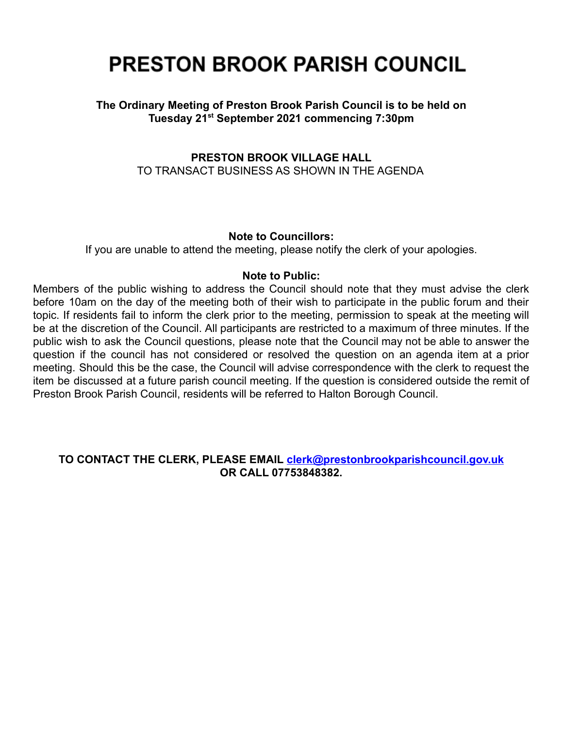# **PRESTON BROOK PARISH COUNCIL**

## **The Ordinary Meeting of Preston Brook Parish Council is to be held on Tuesday 21st September 2021 commencing 7:30pm**

### **PRESTON BROOK VILLAGE HALL** TO TRANSACT BUSINESS AS SHOWN IN THE AGENDA

#### **Note to Councillors:**

If you are unable to attend the meeting, please notify the clerk of your apologies.

#### **Note to Public:**

Members of the public wishing to address the Council should note that they must advise the clerk before 10am on the day of the meeting both of their wish to participate in the public forum and their topic. If residents fail to inform the clerk prior to the meeting, permission to speak at the meeting will be at the discretion of the Council. All participants are restricted to a maximum of three minutes. If the public wish to ask the Council questions, please note that the Council may not be able to answer the question if the council has not considered or resolved the question on an agenda item at a prior meeting. Should this be the case, the Council will advise correspondence with the clerk to request the item be discussed at a future parish council meeting. If the question is considered outside the remit of Preston Brook Parish Council, residents will be referred to Halton Borough Council.

#### **TO CONTACT THE CLERK, PLEASE EMAIL [clerk@prestonbrookparishcouncil.gov.uk](mailto:clerk@prestonbrookparishcouncil.gov.uk) OR CALL 07753848382.**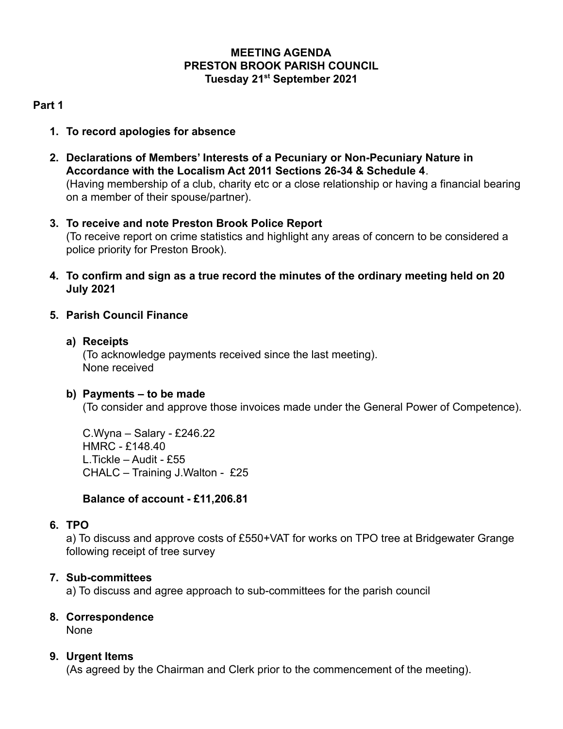## **MEETING AGENDA PRESTON BROOK PARISH COUNCIL Tuesday 21st September 2021**

## **Part 1**

- **1. To record apologies for absence**
- **2. Declarations of Members' Interests of a Pecuniary or Non-Pecuniary Nature in Accordance with the Localism Act 2011 Sections 26-34 & Schedule 4**. (Having membership of a club, charity etc or a close relationship or having a financial bearing on a member of their spouse/partner).
- **3. To receive and note Preston Brook Police Report** (To receive report on crime statistics and highlight any areas of concern to be considered a police priority for Preston Brook).
- **4. To confirm and sign as a true record the minutes of the ordinary meeting held on 20 July 2021**

## **5. Parish Council Finance**

#### **a) Receipts**

(To acknowledge payments received since the last meeting). None received

#### **b) Payments – to be made**

(To consider and approve those invoices made under the General Power of Competence).

C.Wyna – Salary - £246.22 HMRC - £148.40 L.Tickle – Audit - £55 CHALC – Training J.Walton - £25

## **Balance of account - £11,206.81**

#### **6. TPO**

a) To discuss and approve costs of £550+VAT for works on TPO tree at Bridgewater Grange following receipt of tree survey

## **7. Sub-committees**

a) To discuss and agree approach to sub-committees for the parish council

## **8. Correspondence**

None

## **9. Urgent Items**

(As agreed by the Chairman and Clerk prior to the commencement of the meeting).